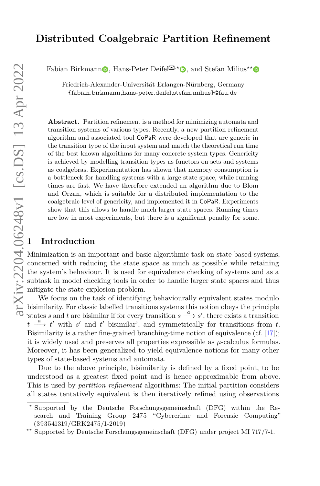# **Distributed Coalgebraic Partition Refinement**

Fabia[n](http://orcid.org/0000-0001-5890-9485) Birkmann**D**[,](http://orcid.org/0000-0002-9542-9664) Hans-Peter Deifel<sup> $\mathbb{Z}^*$ </sup>**D**, and Stefan Milius<sup>\*\*</sup>

Friedrich-Alexander-Universität Erlangen-Nürnberg, Germany {fabian.birkmann,hans-peter.deifel,stefan.milius}@fau.de

**Abstract.** Partition refinement is a method for minimizing automata and transition systems of various types. Recently, a new partition refinement algorithm and associated tool CoPaR were developed that are generic in the transition type of the input system and match the theoretical run time of the best known algorithms for many concrete system types. Genericity is achieved by modelling transition types as functors on sets and systems as coalgebras. Experimentation has shown that memory consumption is a bottleneck for handling systems with a large state space, while running times are fast. We have therefore extended an algorithm due to Blom and Orzan, which is suitable for a distributed implementation to the coalgebraic level of genericity, and implemented it in CoPaR. Experiments show that this allows to handle much larger state spaces. Running times are low in most experiments, but there is a significant penalty for some. Fabian Birkman<br>
Friedrich-A<br>
fabian.b<br>
friedrich-A<br>
fabian.b<br>
friedrich-A<br>
fabian.b<br>
friedrich-A<br>
fabian.b<br>
friedrich-A<br>
fabian.b<br>
friedrich-A<br>
fabian.b<br>
mission system are abidity<br>
of the best know<br>
is achieved by m<br>
as c

Minimization is an important and basic algorithmic task on state-based systems, concerned with reducing the state space as much as possible while retaining the system's behaviour. It is used for equivalence checking of systems and as a subtask in model checking tools in order to handle larger state spaces and thus mitigate the state-explosion problem.

We focus on the task of identifying behaviourally equivalent states modulo bisimilarity. For classic labelled transitions systems this notion obeys the principle 'states *s* and *t* are bisimilar if for every transition  $s \xrightarrow{a} s'$ , there exists a transition  $t \stackrel{a}{\longrightarrow} t'$  with *s*' and *t'* bisimilar', and symmetrically for transitions from *t*. Bisimilarity is a rather fine-grained branching-time notion of equivalence (cf. [\[17\]](#page-17-0)); it is widely used and preserves all properties expressible as *µ*-calculus formulas. Moreover, it has been generalized to yield equivalence notions for many other types of state-based systems and automata.

Due to the above principle, bisimilarity is defined by a fixed point, to be understood as a greatest fixed point and is hence approximable from above. This is used by *partition refinement* algorithms: The initial partition considers all states tentatively equivalent is then iteratively refined using observations

*<sup>?</sup>* Supported by the Deutsche Forschungsgemeinschaft (DFG) within the Research and Training Group 2475 "Cybercrime and Forensic Computing" (393541319/GRK2475/1-2019)

*<sup>??</sup>* Supported by Deutsche Forschungsgemeinschaft (DFG) under project MI 717/7-1.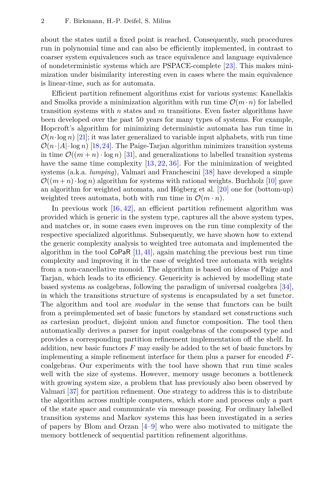about the states until a fixed point is reached. Consequently, such procedures run in polynomial time and can also be efficiently implemented, in contrast to coarser system equivalences such as trace equivalence and language equivalence of nondeterministic systems which are PSPACE-complete [\[23\]](#page-17-1). This makes minimization under bisimilarity interesting even in cases where the main equivalence is linear-time, such as for automata.

Efficient partition refinement algorithms exist for various systems: Kanellakis and Smolka provide a minimization algorithm with run time  $\mathcal{O}(m \cdot n)$  for labelled transition systems with *n* states and *m* transitions. Even faster algorithms have been developed over the past 50 years for many types of systems. For example, Hopcroft's algorithm for minimizing deterministic automata has run time in  $\mathcal{O}(n \cdot \log n)$  [\[21\]](#page-17-2); it was later generalized to variable input alphabets, with run time  $\mathcal{O}(n \cdot |A| \cdot \log n)$  [\[18,](#page-17-3)[24\]](#page-17-4). The Paige-Tarjan algorithm minimizes transition systems in time  $\mathcal{O}((m+n) \cdot \log n)$  [\[31\]](#page-17-5), and generalizations to labelled transition systems have the same time complexity [\[13,](#page-16-0) [22,](#page-17-6) [36\]](#page-18-0). For the minimization of weighted systems (a.k.a. *lumping*), Valmari and Franchescini [\[38\]](#page-18-1) have developed a simple  $\mathcal{O}((m+n)\cdot \log n)$  algorithm for systems with rational weights. Buchholz [\[10\]](#page-16-1) gave an algorithm for weighted automata, and Högberg et al. [\[20\]](#page-17-7) one for (bottom-up) weighted trees automata, both with run time in  $\mathcal{O}(m \cdot n)$ .

In previous work [\[16,](#page-16-2) [42\]](#page-18-2), an efficient partition refinement algorithm was provided which is generic in the system type, captures all the above system types, and matches or, in some cases even improves on the run time complexity of the respective specialized algorithms. Subsequently, we have shown how to extend the generic complexity analysis to weighted tree automata and implemented the algorithm in the tool  $\mathsf{CoPaR}$  [\[11,](#page-16-3) [41\]](#page-18-3), again matching the previous best run time complexity and improving it in the case of weighted tree automata with weights from a non-cancellative monoid. The algorithm is based on ideas of Paige and Tarjan, which leads to its efficiency. Genericity is achieved by modelling state based systems as coalgebras, following the paradigm of universal coalgebra [\[34\]](#page-17-8), in which the transitions structure of systems is encapsulated by a set functor. The algorithm and tool are *modular* in the sense that functors can be built from a preimplemented set of basic functors by standard set constructions such as cartesian product, disjoint union and functor composition. The tool then automatically derives a parser for input coalgebras of the composed type and provides a corresponding partition refinement implementation off the shelf. In addition, new basic functors *F* may easily be added to the set of basic functors by implementing a simple refinement interface for them plus a parser for encoded *F*coalgebras. Our experiments with the tool have shown that run time scales well with the size of systems. However, memory usage becomes a bottleneck with growing system size, a problem that has previously also been observed by Valmari [\[37\]](#page-18-4) for partition refinement. One strategy to address this is to distribute the algorithm across multiple computers, which store and process only a part of the state space and communicate via message passing. For ordinary labelled transition systems and Markov systems this has been investigated in a series of papers by Blom and Orzan [\[4](#page-16-4)[–9\]](#page-16-5) who were also motivated to mitigate the memory bottleneck of sequential partition refinement algorithms.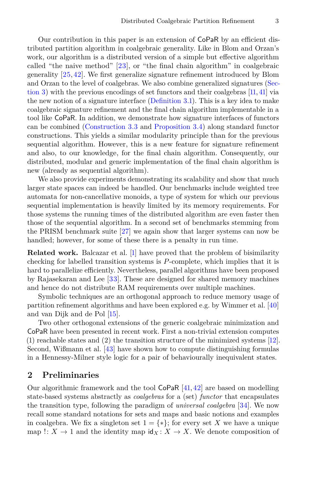Our contribution in this paper is an extension of CoPaR by an efficient distributed partition algorithm in coalgebraic generality. Like in Blom and Orzan's work, our algorithm is a distributed version of a simple but effective algorithm called "the naive method" [\[23\]](#page-17-1), or "the final chain algorithm" in coalgebraic generality [\[25,](#page-17-9) [42\]](#page-18-2). We first generalize signature refinement introduced by Blom and Orzan to the level of coalgebras. We also combine generalized signatures [\(Sec](#page-6-0)[tion](#page-6-0) 3) with the previous encodings of set functors and their coalgebras [\[11,](#page-16-3) [41\]](#page-18-3) via the new notion of a signature interface [\(Definition](#page-7-0) 3.1). This is a key idea to make coalgebraic signature refinement and the final chain algorithm implementable in a tool like CoPaR. In addition, we demonstrate how signature interfaces of functors can be combined [\(Construction](#page-8-0) 3.3 and [Proposition](#page-8-1) 3.4) along standard functor constructions. This yields a similar modularity principle than for the previous sequential algorithm. However, this is a new feature for signature refinement and also, to our knowledge, for the final chain algorithm. Consequently, our distributed, modular and generic implementation of the final chain algorithm is new (already as sequential algorithm).

We also provide experiments demonstrating its scalability and show that much larger state spaces can indeed be handled. Our benchmarks include weighted tree automata for non-cancellative monoids, a type of system for which our previous sequential implementation is heavily limited by its memory requirements. For those systems the running times of the distributed algorithm are even faster then those of the sequential algorithm. In a second set of benchmarks stemming from the PRISM benchmark suite [\[27\]](#page-17-10) we again show that larger systems can now be handled; however, for some of these there is a penalty in run time.

**Related work.** Balcazar et al. [\[1\]](#page-16-6) have proved that the problem of bisimilarity checking for labelled transition systems is *P*-complete, which implies that it is hard to parallelize efficiently. Nevertheless, parallel algorithms have been proposed by Rajasekaran and Lee [\[33\]](#page-17-11). These are designed for shared memory machines and hence do not distribute RAM requirements over multiple machines.

Symbolic techniques are an orthogonal approach to reduce memory usage of partition refinement algorithms and have been explored e.g. by Wimmer et al. [\[40\]](#page-18-5) and van Dijk and de Pol [\[15\]](#page-16-7).

Two other orthogonal extensions of the generic coalgebraic minimization and CoPaR have been presented in recent work. First a non-trivial extension computes (1) reachable states and (2) the transition structure of the minimized systems [\[12\]](#page-16-8). Second, Wißmann et al. [\[43\]](#page-18-6) have shown how to compute distinguishing formulas in a Hennessy-Milner style logic for a pair of behaviourally inequivalent states.

#### **2 Preliminaries**

Our algorithmic framework and the tool  $\text{CoPaR}$  [\[41,](#page-18-3)[42\]](#page-18-2) are based on modelling state-based systems abstractly as *coalgebras* for a (set) *functor* that encapsulates the transition type, following the paradigm of *universal coalgebra* [\[34\]](#page-17-8). We now recall some standard notations for sets and maps and basic notions and examples in coalgebra. We fix a singleton set  $1 = \{*\}$ ; for every set X we have a unique map  $\colon X \to 1$  and the identity map  $\text{id}_X : X \to X$ . We denote composition of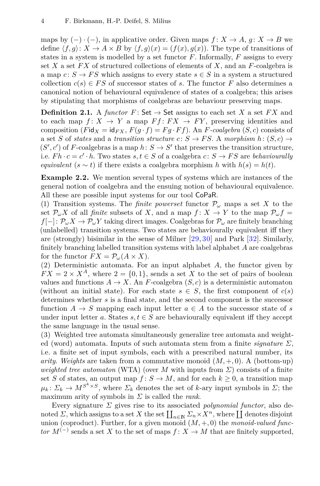maps by  $(-) \cdot (-)$ , in applicative order. Given maps  $f: X \to A$ ,  $g: X \to B$  we define  $\langle f, g \rangle: X \to A \times B$  by  $\langle f, g \rangle(x) = (f(x), g(x))$ . The type of transitions of states in a system is modelled by a set functor *F*. Informally, *F* assigns to every set *X* a set *F X* of structured collections of elements of *X*, and an *F*-coalgebra is a map  $c: S \to FS$  which assigns to every state  $s \in S$  in a system a structured collection  $c(s) \in FS$  of successor states of *s*. The functor *F* also determines a canonical notion of behavioural equivalence of states of a coalgebra; this arises by stipulating that morphisms of coalgebras are behaviour preserving maps.

**Definition 2.1.** A *functor*  $F:$  Set  $\rightarrow$  Set assigns to each set *X* a set *FX* and to each map  $f: X \to Y$  a map  $Ff: FX \to FY$ , preserving identities and composition (*F*id<sub>*X*</sub> = id<sub>*FX*</sub>,  $F(g \cdot f) = F(g \cdot Ff)$ ). An *F*-coalgebra (*S*, *c*) consists of a set *S* of *states* and a *transition structure*  $c: S \to FS$ . A *morphism*  $h: (S, c) \to$  $(S', c')$  of *F*-coalgebras is a map  $h: S \to S'$  that preserves the transition structure, i.e.  $Fh \cdot c = c' \cdot h$ . Two states  $s, t \in S$  of a coalgebra  $c \colon S \to FS$  are *behaviourally equivalent*  $(s \sim t)$  if there exists a coalgebra morphism *h* with  $h(s) = h(t)$ .

<span id="page-3-0"></span>**Example 2.2.** We mention several types of systems which are instances of the general notion of coalgebra and the ensuing notion of behavioural equivalence. All these are possible input systems for our tool CoPaR.

<span id="page-3-1"></span>(1) Transition systems. The *finite powerset* functor  $\mathcal{P}_{\omega}$  maps a set X to the set  $\mathcal{P}_{\omega}X$  of all *finite* subsets of X, and a map  $f: X \to Y$  to the map  $\mathcal{P}_{\omega}f =$  $f[-]: \mathcal{P}_{\omega}X \to \mathcal{P}_{\omega}Y$  taking direct images. Coalgebras for  $\mathcal{P}_{\omega}$  are finitely branching (unlabelled) transition systems. Two states are behaviourally equivalent iff they are (strongly) bisimilar in the sense of Milner [\[29,](#page-17-12)[30\]](#page-17-13) and Park [\[32\]](#page-17-14). Similarly, finitely branching labelled transition systems with label alphabet *A* are coalgebras for the functor  $FX = \mathcal{P}_{\omega}(A \times X)$ .

(2) Deterministic automata. For an input alphabet *A*, the functor given by  $FX = 2 \times X^A$ , where  $2 = \{0, 1\}$ , sends a set *X* to the set of pairs of boolean values and functions  $A \to X$ . An *F*-coalgebra  $(S, c)$  is a deterministic automaton (without an initial state). For each state  $s \in S$ , the first component of  $c(s)$ determines whether *s* is a final state, and the second component is the successor function  $A \rightarrow S$  mapping each input letter  $a \in A$  to the successor state of *s* under input letter *a*. States  $s, t \in S$  are behaviourally equivalent iff they accept the same language in the usual sense.

(3) Weighted tree automata simultaneously generalize tree automata and weighted (word) automata. Inputs of such automata stem from a finite *signature Σ*, i.e. a finite set of input symbols, each with a prescribed natural number, its *arity. Weights* are taken from a commutative monoid  $(M, +, 0)$ . A (bottom-up) *weighted tree automaton* (WTA) (over *M* with inputs from  $\Sigma$ ) consists of a finite set *S* of states, an output map  $f: S \to M$ , and for each  $k \geq 0$ , a transition map  $\mu_k \colon \Sigma_k \to M^{S^k \times S}$ , where  $\Sigma_k$  denotes the set of *k*-ary input symbols in  $\Sigma$ ; the maximum arity of symbols in *Σ* is called the *rank*.

Every signature *Σ* gives rise to its associated *polynomial functor*, also denoted  $\Sigma$ , which assigns to a set  $X$  the set  $\prod_{n\in\mathbb{N}}\Sigma_n\times X^n$ , where  $\prod$  denotes disjoint union (coproduct). Further, for a given monoid (*M,* +*,* 0) the *monoid-valued functor*  $M^{(-)}$  sends a set *X* to the set of maps  $f: X \to M$  that are finitely supported,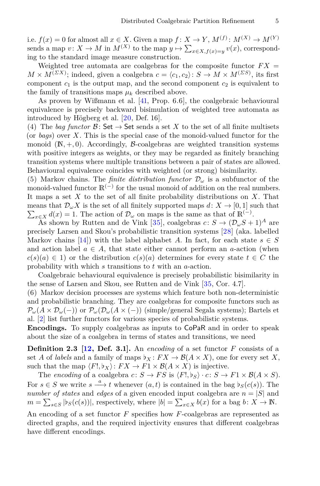i.e.  $f(x) = 0$  for almost all  $x \in X$ . Given a map  $f: X \to Y$ ,  $M^{(f)}: M^{(X)} \to M^{(Y)}$ sends a map  $v: X \to M$  in  $M^{(X)}$  to the map  $y \mapsto \sum_{x \in X, f(x)=y} v(x)$ , corresponding to the standard image measure construction.

Weighted tree automata are coalgebras for the composite functor  $FX =$  $M \times M^{(\Sigma X)}$ ; indeed, given a coalgebra  $c = \langle c_1, c_2 \rangle : S \to M \times M^{(\Sigma S)}$ , its first component  $c_1$  is the output map, and the second component  $c_2$  is equivalent to the family of transitions maps  $\mu_k$  described above.

As proven by Wißmann et al. [\[41,](#page-18-3) Prop. 6.6], the coalgebraic behavioural equivalence is precisely backward bisimulation of weighted tree automata as introduced by Högberg et al. [\[20,](#page-17-7) Def. 16].

(4) The *bag functor*  $\mathcal{B}$ : Set  $\rightarrow$  Set sends a set *X* to the set of all finite multisets (or *bags*) over *X*. This is the special case of the monoid-valued functor for the monoid  $(N, +, 0)$ . Accordingly, B-coalgebras are weighted transition systems with positive integers as weights, or they may be regarded as finitely branching transition systems where multiple transitions between a pair of states are allowed. Behavioural equivalence coincides with weighted (or strong) bisimilarity.

(5) Markov chains. The *finite distribution functor*  $\mathcal{D}_{\omega}$  is a subfunctor of the monoid-valued functor  $\mathbb{R}^{(-)}$  for the usual monoid of addition on the real numbers. It maps a set *X* to the set of all finite probability distributions on *X*. That means that  $\mathcal{D}_{\omega}X$  is the set of all finitely supported maps  $d: X \to [0,1]$  such that  $\sum_{x \in X} d(x) = 1$ . The action of  $\mathcal{D}_{\omega}$  on maps is the same as that of  $\mathbb{R}^{(-)}$ .

As shown by Rutten and de Vink [\[35\]](#page-18-7), coalgebras  $c: S \to (\mathcal{D}_{\omega}S + 1)^A$  are precisely Larsen and Skou's probabilistic transition systems [\[28\]](#page-17-15) (aka. labelled Markov chains [\[14\]](#page-16-9)) with the label alphabet *A*. In fact, for each state  $s \in S$ and action label  $a \in A$ , that state either cannot perform an *a*-action (when  $c(s)(a) \in 1$  or the distribution  $c(s)(a)$  determines for every state  $t \in C$  the probability with which *s* transitions to *t* with an *a*-action.

Coalgebraic behavioural equivalence is precisely probabilistic bisimilarity in the sense of Larsen and Skou, see Rutten and de Vink [\[35,](#page-18-7) Cor. 4.7].

(6) Markov decision processes are systems which feature both non-deterministic and probabilistic branching. They are coalgebras for composite functors such as  $\mathcal{P}_\omega(A \times \mathcal{D}_\omega(-))$  or  $\mathcal{P}_\omega(\mathcal{D}_\omega(A \times (-))$  (simple/general Segala systems); Bartels et al. [\[2\]](#page-16-10) list further functors for various species of probabilistic systems.

<span id="page-4-0"></span>**Encodings.** To supply coalgebras as inputs to CoPaR and in order to speak about the size of a coalgebra in terms of states and transitions, we need

**Definition 2.3 [\[12,](#page-16-8) Def. 3.1].** An *encoding* of a set functor *F* consists of a set *A* of *labels* and a family of maps  $\flat_X : FX \to \mathcal{B}(A \times X)$ , one for every set *X*, such that the map  $\langle F^{\prime}, b_X \rangle$ :  $FX \to F1 \times \mathcal{B}(A \times X)$  is injective.

The *encoding* of a coalgebra  $c: S \to FS$  is  $\langle F, \flat_S \rangle \cdot c: S \to F1 \times B(A \times S)$ . For  $s \in S$  we write  $s \xrightarrow{a} t$  whenever  $(a, t)$  is contained in the bag  $\flat_S(c(s))$ . The *number of states* and *edges* of a given encoded input coalgebra are  $n = |S|$  and  $m = \sum_{s \in S} |b_S(c(s))|$ , respectively, where  $|b| = \sum_{x \in X} b(x)$  for a bag  $b: X \to \mathbb{N}$ .

An encoding of a set functor *F* specifies how *F*-coalgebras are represented as directed graphs, and the required injectivity ensures that different coalgebras have different encodings.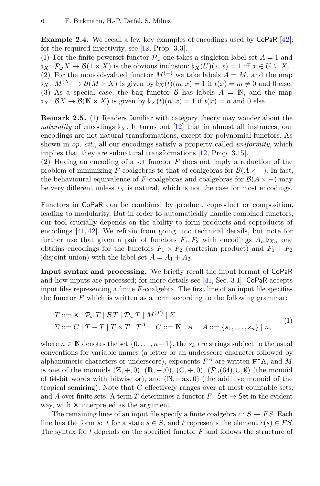**Example 2.4.** We recall a few key examples of encodings used by CoPaR [\[42\]](#page-18-2); for the required injectivity, see [\[12,](#page-16-8) Prop. 3.3].

(1) For the finite powerset functor  $\mathcal{P}_{\omega}$  one takes a singleton label set  $A = 1$  and  $\mathcal{L} \mathcal{L} \mathcal{L} \mathcal{L} \rightarrow \mathcal{L} \mathcal{L} \rightarrow \mathcal{L} \mathcal{L} \rightarrow \mathcal{L} \mathcal{L}$  is the obvious inclusion:  $\mathcal{L} \mathcal{L} \mathcal{L} \mathcal{L} \rightarrow \mathcal{L} \mathcal{L} \rightarrow \mathcal{L} \mathcal{L} \rightarrow \mathcal{L} \rightarrow \mathcal{L} \rightarrow \mathcal{L} \rightarrow \mathcal{L} \rightarrow \mathcal{L} \rightarrow \mathcal{L} \rightarrow \mathcal{L} \rightarrow \mathcal{L} \rightarrow \mathcal{L} \$ (2) For the monoid-valued functor  $M^{(-)}$  we take labels  $A = M$ , and the map  $\mathfrak{b}_X : M^{(X)} \to \mathcal{B}(M \times X)$  is given by  $\mathfrak{b}_X(t)(m, x) = 1$  if  $t(x) = m \neq 0$  and 0 else. (3) As a special case, the bag functor  $\beta$  has labels  $A = \mathbb{N}$ , and the map  $\flat_X : \mathcal{B}X \to \mathcal{B}(\mathbb{N} \times X)$  is given by  $\flat_X(t)(n, x) = 1$  if  $t(x) = n$  and 0 else.

**Remark 2.5.** (1) Readers familiar with category theory may wonder about the *naturality* of encodings  $\flat_X$ . It turns out [\[12\]](#page-16-8) that in almost all instances, our encodings are not natural transformations, except for polynomial functors. As shown in *op. cit.*, all our encodings satisfy a property called *uniformity*, which implies that they are subnatural transformations [\[12,](#page-16-8) Prop. 3.15].

(2) Having an encoding of a set functor *F* does not imply a reduction of the problem of minimizing *F*-coalgebras to that of coalgebras for  $\mathcal{B}(A \times -)$ . In fact, the behavioural equivalence of *F*-coalgebras and coalgebras for  $\mathcal{B}(A \times -)$  may be very different unless  $\flat_X$  is natural, which is not the case for most encodings.

Functors in CoPaR can be combined by product, coproduct or composition, leading to modularity. But in order to automatically handle combined functors, our tool crucially depends on the ability to form products and coproducts of encodings [\[41,](#page-18-3) [42\]](#page-18-2). We refrain from going into technical details, but note for further use that given a pair of functors  $F_1, F_2$  with encodings  $A_i, \flat_{X,i}$  one obtains encodings for the functors  $F_1 \times F_2$  (cartesian product) and  $F_1 + F_2$ (disjoint union) with the label set  $A = A_1 + A_2$ .

<span id="page-5-1"></span>**Input syntax and processing.** We briefly recall the input format of CoPaR and how inputs are processed; for more details see [\[41,](#page-18-3) Sec. 3.1]. CoPaR accepts input files representing a finite *F*-coalgebra. The first line of an input file specifies the functor  $F$  which is written as a term according to the following grammar:

<span id="page-5-0"></span>
$$
T ::= \mathbf{X} \mid \mathcal{P}_{\omega} T \mid \mathcal{B} T \mid \mathcal{D}_{\omega} T \mid M^{(T)} \mid \Sigma
$$
  

$$
\Sigma ::= C \mid T + T \mid T \times T \mid T^{A} \quad C ::= \mathbb{N} \mid A \quad A ::= \{s_{1}, \ldots, s_{n}\} \mid n,
$$
 (1)

where  $n \in \mathbb{N}$  denotes the set  $\{0, \ldots, n-1\}$ , the  $s_k$  are strings subject to the usual conventions for variable names (a letter or an underscore character followed by alphanumeric characters or underscore), exponents  $F^A$  are written  $F^A$ , and *M* is one of the monoids  $(\mathbb{Z}, +, 0)$ ,  $(\mathbb{R}, +, 0)$ ,  $(\mathbb{C}, +, 0)$ ,  $(\mathcal{P}_{\omega}(64), \cup, \emptyset)$  (the monoid of 64-bit words with bitwise or), and (N*,* max*,* 0) (the additive monoid of the tropical semiring). Note that *C* effectively ranges over at most countable sets, and *A* over finite sets. A term *T* determines a functor  $F:$  Set  $\rightarrow$  Set in the evident way, with X interpreted as the argument.

The remaining lines of an input file specify a finite coalgebra  $c: S \to FS$ . Each line has the form  $s: \text{L}^t$  for a state  $s \in S$ , and  $t$  represents the element  $c(s) \in FS$ . The syntax for *t* depends on the specified functor *F* and follows the structure of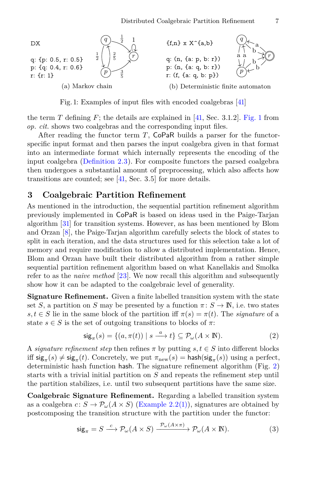<span id="page-6-1"></span>

Fig. 1: Examples of input files with encoded coalgebras [\[41\]](#page-18-3)

the term *T* defining *F*; the details are explained in [\[41,](#page-18-3) Sec. 3.1.2]. [Fig.](#page-6-1) 1 from *op. cit.* shows two coalgebras and the corresponding input files.

After reading the functor term *T*, CoPaR builds a parser for the functorspecific input format and then parses the input coalgebra given in that format into an intermediate format which internally represents the encoding of the input coalgebra [\(Definition](#page-4-0) 2.3). For composite functors the parsed coalgebra then undergoes a substantial amount of preprocessing, which also affects how transitions are counted; see [\[41,](#page-18-3) Sec. 3.5] for more details.

### <span id="page-6-0"></span>**3 Coalgebraic Partition Refinement**

As mentioned in the introduction, the sequential partition refinement algorithm previously implemented in CoPaR is based on ideas used in the Paige-Tarjan algorithm [\[31\]](#page-17-5) for transition systems. However, as has been mentioned by Blom and Orzan [\[8\]](#page-16-11), the Paige-Tarjan algorithm carefully selects the block of states to split in each iteration, and the data structures used for this selection take a lot of memory and require modification to allow a distributed implementation. Hence, Blom and Orzan have built their distributed algorithm from a rather simple sequential partition refinement algorithm based on what Kanellakis and Smolka refer to as the *naive method* [\[23\]](#page-17-1). We now recall this algorithm and subsequently show how it can be adapted to the coalgebraic level of generality.

**Signature Refinement.** Given a finite labelled transition system with the state set *S*, a partition on *S* may be presented by a function  $\pi: S \to \mathbb{N}$ , i.e. two states  $s, t \in S$  lie in the same block of the partition iff  $\pi(s) = \pi(t)$ . The *signature* of a state  $s \in S$  is the set of outgoing transitions to blocks of  $\pi$ :

$$
\mathsf{sig}_{\pi}(s) = \{(a, \pi(t)) \mid s \xrightarrow{a} t\} \subseteq \mathcal{P}_{\omega}(A \times \mathbb{N}).\tag{2}
$$

A *signature refinement step* then refines  $\pi$  by putting  $s, t \in S$  into different blocks iff  $\mathsf{sig}_{\pi}(s) \neq \mathsf{sig}_{\pi}(t)$ . Concretely, we put  $\pi_{\text{new}}(s) = \mathsf{hash}(\mathsf{sig}_{\pi}(s))$  using a perfect, deterministic hash function hash. The signature refinement algorithm (Fig. [2\)](#page-7-1) starts with a trivial initial partition on *S* and repeats the refinement step until the partition stabilizes, i.e. until two subsequent partitions have the same size.

**Coalgebraic Signature Refinement.** Regarding a labelled transition system as a coalgebra  $c: S \to \mathcal{P}_\omega(A \times S)$  [\(Example](#page-3-0) 2.[2\(1\)\)](#page-3-1), signatures are obtained by postcomposing the transition structure with the partition under the functor:

$$
\text{sig}_{\pi} = S \xrightarrow{c} \mathcal{P}_{\omega}(A \times S) \xrightarrow{\mathcal{P}_{\omega}(A \times \pi)} \mathcal{P}_{\omega}(A \times \mathbb{N}). \tag{3}
$$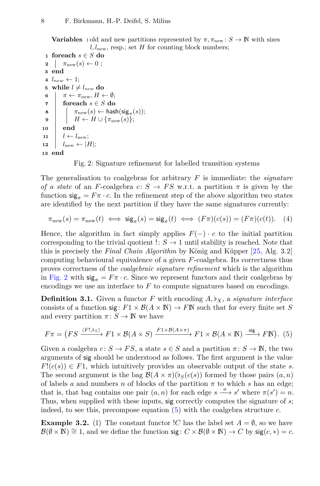<span id="page-7-1"></span>**Variables :** old and new partitions represented by  $\pi$ ,  $\pi_{\text{new}}$  :  $S \to \mathbb{N}$  with sizes  $l, l_{\text{new}}$ , resp.; set *H* for counting block numbers;

```
1 foreach s ∈ S do
 2 \quad \pi_{\text{new}}(s) \leftarrow 0;3 end
 4 \, l_{new} \leftarrow 1;5 while l \neq l_{new} do
 6 \pi \leftarrow \pi_{\text{new}}, H \leftarrow \emptyset;7 foreach s ∈ S do
  8 \pi_{\text{new}}(s) \leftarrow \text{hash}(\text{sig}_{\pi}(s));9 H \leftarrow H \cup \{\pi_{\text{new}}(s)\};10 end
11 \mid l \leftarrow l_{\text{new}};12 \quad | \quad l_{\text{new}} \leftarrow |H|;13 end
```
<span id="page-7-0"></span>Fig. 2: Signature refinement for labelled transition systems

The generalisation to coalgebras for arbitrary *F* is immediate: the *signature of a state* of an *F*-coalgebra *c*:  $S \rightarrow FS$  w.r.t. a partition  $\pi$  is given by the function  $\mathsf{sig}_{\pi} = F \pi \cdot c$ . In the refinement step of the above algorithm two states are identified by the next partition if they have the same signatures currently:

$$
\pi_{\text{new}}(s) = \pi_{\text{new}}(t) \iff \text{sig}_{\pi}(s) = \text{sig}_{\pi}(t) \iff (F\pi)(c(s)) = (F\pi)(c(t)). \tag{4}
$$

Hence, the algorithm in fact simply applies  $F(-) \cdot c$  to the initial partition corresponding to the trivial quotient  $\therefore S \to 1$  until stability is reached. Note that this is precisely the *Final Chain Algorithm* by König and Küpper [\[25,](#page-17-9) Alg. 3.2] computing behavioural equivalence of a given *F*-coalgebra. Its correctness thus proves correctness of the *coalgebraic signature refinement* which is the algorithm in [Fig.](#page-7-1) 2 with  $\text{sig}_{\pi} = F \pi \cdot c$ . Since we represent functors and their coalgebras by encodings we use an interface to *F* to compute signatures based on encodings.

**Definition 3.1.** Given a functor  $F$  with encoding  $A, b_X$ , a *signature interface* consists of a function sig:  $F1 \times \mathcal{B}(A \times \mathbb{N}) \rightarrow F\mathbb{N}$  such that for every finite set *S* and every partition  $\pi: S \to \mathbb{N}$  we have

<span id="page-7-2"></span>
$$
F\pi = (FS \xrightarrow{\langle F!,\flat_S \rangle} F1 \times \mathcal{B}(A \times S) \xrightarrow{F1 \times \mathcal{B}(A \times \pi)} F1 \times \mathcal{B}(A \times \mathbb{N}) \xrightarrow{\text{sig}} F\mathbb{N}). (5)
$$

Given a coalgebra  $c: S \to FS$ , a state  $s \in S$  and a partition  $\pi: S \to \mathbb{N}$ , the two arguments of sig should be understood as follows. The first argument is the value  $F(c(s)) \in F_1$ , which intuitively provides an observable output of the state *s*. The second argument is the bag  $\mathcal{B}(A \times \pi)(b_S(c(s)))$  formed by those pairs  $(a, n)$ of labels *a* and numbers *n* of blocks of the partition  $\pi$  to which *s* has an edge; that is, that bag contains one pair  $(a, n)$  for each edge  $s \xrightarrow{a} s'$  where  $\pi(s') = n$ . Thus, when supplied with these inputs, sig correctly computes the signature of *s*; indeed, to see this, precompose equation [\(5\)](#page-7-2) with the coalgebra structure *c*.

<span id="page-7-3"></span>**Example 3.2.** (1) The constant functor  $\overline{C}$  has the label set  $A = \emptyset$ , so we have  $\mathcal{B}(\emptyset \times \mathbb{N}) \cong 1$ , and we define the function sig:  $C \times \mathcal{B}(\emptyset \times \mathbb{N}) \to C$  by sig $(c, *) = c$ .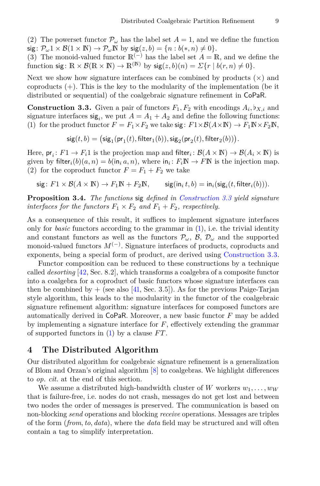<span id="page-8-2"></span>(2) The powerset functor  $\mathcal{P}_{\omega}$  has the label set  $A=1$ , and we define the function  $sig: \mathcal{P}_{\omega}1 \times \mathcal{B}(1 \times \mathbb{N}) \to \mathcal{P}_{\omega} \mathbb{N}$  by  $sig(z, b) = \{n : b(*, n) \neq 0\}.$ 

(3) The monoid-valued functor  $\mathbb{R}^{(-)}$  has the label set  $A = \mathbb{R}$ , and we define the function sig:  $\mathbb{R} \times \mathcal{B}(\mathbb{R} \times \mathbb{N}) \to \mathbb{R}^{(\mathbb{N})}$  by  $\text{sig}(z, b)(n) = \sum \{r \mid b(r, n) \neq 0\}.$ 

Next we show how signature interfaces can be combined by products  $(x)$  and coproducts (+). This is the key to the modularity of the implementation (be it distributed or sequential) of the coalgebraic signature refinement in CoPaR.

**Construction 3.3.** Given a pair of functors  $F_1, F_2$  with encodings  $A_i, \flat_{X,i}$  and signature interfaces  $\text{sig}_i$ , we put  $A = A_1 + A_2$  and define the following functions: (1) for the product functor  $F = F_1 \times F_2$  we take sig:  $F1 \times \mathcal{B}(A \times \mathbb{N}) \to F_1 \mathbb{N} \times F_2 \mathbb{N}$ ,

<span id="page-8-0"></span> $\mathsf{sig}(t,b) = \big(\mathsf{sig}_1(\mathsf{pr}_1(t),\mathsf{filter}_1(b)), \mathsf{sig}_2(\mathsf{pr}_2(t),\mathsf{filter}_2(b))\big).$ 

Here,  $pr_i: F1 \to F_i1$  is the projection map and filter<sub>i</sub>:  $\mathcal{B}(A \times \mathbb{N}) \to \mathcal{B}(A_i \times \mathbb{N})$  is given by filter<sub>*i*</sub>(*b*)(*a*, *n*) = *b*(in<sub>*i*</sub> *a*, *n*), where in<sub>*i*</sub>:  $F_i \mathbb{N} \to F \mathbb{N}$  is the injection map. (2) for the coproduct functor  $F = F_1 + F_2$  we take

 $sig: F1 \times \mathcal{B}(A \times \mathbb{N}) \rightarrow F_1\mathbb{N} + F_2\mathbb{N}$ ,  $\text{sig}( \text{in}_i t, b) = \text{in}_i(\text{sig}_i(t, \text{filter}_i(b))).$ 

<span id="page-8-1"></span>**Proposition 3.4.** *The functions* sig *defined in [Construction](#page-8-0) 3.3 yield signature interfaces for the functors*  $F_1 \times F_2$  *and*  $F_1 + F_2$ *, respectively.* 

As a consequence of this result, it suffices to implement signature interfaces only for *basic* functors according to the grammar in [\(1\)](#page-5-0), i.e. the trivial identity and constant functors as well as the functors  $\mathcal{P}_{\omega}$ ,  $\mathcal{B}$ ,  $\mathcal{D}_{\omega}$  and the supported monoid-valued functors *M*(−) . Signature interfaces of products, coproducts and exponents, being a special form of product, are derived using [Construction](#page-8-0) 3.3.

Functor composition can be reduced to these constructions by a technique called *desorting* [\[42,](#page-18-2) Sec. 8.2], which transforms a coalgebra of a composite functor into a coalgebra for a coproduct of basic functors whose signature interfaces can then be combined by  $+$  (see also [\[41,](#page-18-3) Sec. 3.5]). As for the previous Paige-Tarjan style algorithm, this leads to the modularity in the functor of the coalgebraic signature refinement algorithm: signature interfaces for composed functors are automatically derived in CoPaR. Moreover, a new basic functor *F* may be added by implementing a signature interface for *F*, effectively extending the grammar of supported functors in [\(1\)](#page-5-0) by a clause *F T*.

### **4 The Distributed Algorithm**

Our distributed algorithm for coalgebraic signature refinement is a generalization of Blom and Orzan's original algorithm [\[8\]](#page-16-11) to coalgebras. We highlight differences to *op. cit.* at the end of this section.

We assume a distributed high-bandwidth cluster of *W* workers  $w_1, \ldots, w_W$ that is failure-free, i.e. nodes do not crash, messages do not get lost and between two nodes the order of messages is preserved. The communication is based on non-blocking *send* operations and blocking *receive* operations. Messages are triples of the form (*from, to, data*), where the *data* field may be structured and will often contain a tag to simplify interpretation.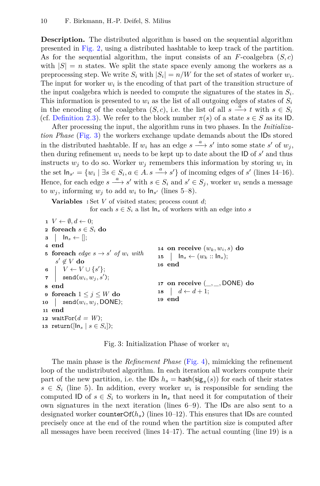**Description.** The distributed algorithm is based on the sequential algorithm presented in [Fig.](#page-7-1) 2, using a distributed hashtable to keep track of the partition. As for the sequential algorithm, the input consists of an *F*-coalgebra (*S, c*) with  $|S| = n$  states. We split the state space evenly among the workers as a preprocessing step. We write  $S_i$  with  $|S_i| = n/W$  for the set of states of worker  $w_i$ . The input for worker  $w_i$  is the encoding of that part of the transition structure of the input coalgebra which is needed to compute the signatures of the states in  $S_i$ . This information is presented to  $w_i$  as the list of all outgoing edges of states of  $S_i$ in the encoding of the coalgebra  $(S, c)$ , i.e. the list of all  $s \stackrel{a}{\longrightarrow} t$  with  $s \in S_i$ (cf. [Definition](#page-4-0) 2.3). We refer to the block number  $\pi(s)$  of a state  $s \in S$  as its ID.

After processing the input, the algorithm runs in two phases. In the *Initialization Phase* [\(Fig.](#page-9-0) 3) the workers exchange update demands about the IDs stored in the distributed hashtable. If  $w_i$  has an edge  $s \xrightarrow{a} s'$  into some state  $s'$  of  $w_j$ , then during refinement  $w_i$  needs to be kept up to date about the ID of  $s'$  and thus instructs  $w_j$  to do so. Worker  $w_j$  remembers this information by storing  $w_i$  in the set  $\ln_{s'} = \{w_i \mid \exists s \in S_i, a \in A \text{ and } s' \}$  of incoming edges of *s'* (lines 14–16). Hence, for each edge  $s \xrightarrow{a} s'$  with  $s \in S_i$  and  $s' \in S_j$ , worker  $w_i$  sends a message to  $w_j$ , informing  $w_j$  to add  $w_i$  to  $\ln_{s'}$  (lines 5–8).

**Variables :** Set *V* of visited states; process count *d*;

for each  $s \in S_i$  a list  $\ln_s$  of workers with an edge into *s* 

```
\mathbf{1} \ \ V \leftarrow \emptyset, d \leftarrow 0;2 foreach s \in S_i do
 3 \mid \mathsf{In}_s \leftarrow [];
 4 end
 5 foreach edge s \rightarrow s' of w_i with
       s' \not\in V do
 6 V \leftarrow V \cup \{s'\};\begin{array}{|c|c|} \hline \texttt{r}} & \texttt{send}(w_i,w_j,s'); \hline \end{array}8 end
 9 foreach 1 ≤ j ≤ W do
10 \qquad send(w_i, w_j, \text{DONE});11 end
12 waitFor(d = W);
13 return(\lceil \ln_s | s \in S_i \rceil);
                                                         14 on receive (w_k, w_i, s) do
                                                         15 Ins ← (wk :: Ins);
                                                         16 end
                                                         17 on receive (_, _, DONE) do
                                                         18 d \leftarrow d+1;19 end
```
Fig. 3: Initialization Phase of worker *w<sup>i</sup>*

The main phase is the *Refinement Phase* [\(Fig.](#page-10-0) 4), mimicking the refinement loop of the undistributed algorithm. In each iteration all workers compute their part of the new partition, i.e. the  $\textsf{IDs}\;h_s = \textsf{hash}(\textsf{sig}_{\pi}(s))$  for each of their states  $s \in S_i$  (line 5). In addition, every worker  $w_i$  is responsible for sending the computed ID of  $s \in S_i$  to workers in  $\mathsf{In}_s$  that need it for computation of their own signatures in the next iteration (lines 6–9). The IDs are also sent to a designated worker counterOf(*hs*) (lines 10–12). This ensures that IDs are counted precisely once at the end of the round when the partition size is computed after all messages have been received (lines 14–17). The actual counting (line 19) is a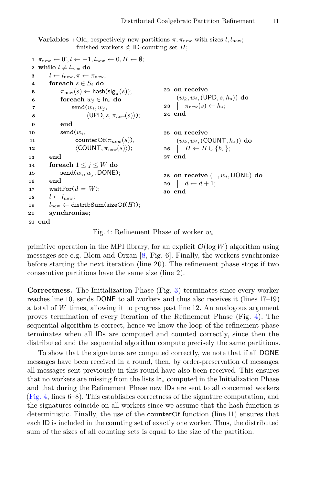<span id="page-10-0"></span>**Variables :** Old, respectively new partitions  $\pi$ ,  $\pi_{\text{new}}$  with sizes *l, l<sub>new</sub>*; finished workers *d*; ID-counting set *H*;

```
1 \pi_{\text{new}} \leftarrow 0!, l \leftarrow -1, l_{\text{new}} \leftarrow 0, H \leftarrow \emptyset;2 while l \neq l_{new} do
 3 l \leftarrow l_{\text{new}}, \pi \leftarrow \pi_{\text{new}};4 foreach s \in S_i do
 5 \pi_{\text{new}}(s) \leftarrow \text{hash}(\text{sig}_{\pi}(s));6 for each w_i \in \mathsf{In}_s do
 \mathbf{z} | send(w_i, w_j)8 \vert \vert \vert \langle UPD, s, \pi_{new}(s)\rangle;
 9 end
10 \qquad \qquad send(w_i)11 | counterOf(\pi_{new}(s)),
12 \langle \text{COUNT}, \pi_{new}(s) \rangle;
13 end
14 foreach 1 \leq i \leq W do
15 | \text{send}(w_i, w_j, \text{DONE});16 end
17 waitFor(d = W);
18 l \leftarrow l_{\text{new}};
19 l_{\text{new}} \leftarrow \text{distribSum}(\text{sizeOf}(H));20 synchronize;
21 end
                                                           22 on receive
                                                                 (wk, wi,(UPD, s, hs)) do
                                                           23 \pi_{\text{new}}(s) \leftarrow h_s;24 end
                                                           25 on receive
                                                                 (w_k, w_i, (COUNT, h_s))do
                                                           26 H \leftarrow H \cup \{h_s\};27 end
                                                           28 on receive (_, wi, DONE) do
                                                           29 d \leftarrow d+1;
                                                           30 end
```
Fig. 4: Refinement Phase of worker *w<sup>i</sup>*

primitive operation in the MPI library, for an explicit  $\mathcal{O}(\log W)$  algorithm using messages see e.g. Blom and Orzan [\[8,](#page-16-11) Fig. 6]. Finally, the workers synchronize before starting the next iteration (line 20). The refinement phase stops if two consecutive partitions have the same size (line 2).

**Correctness.** The Initialization Phase (Fig. [3\)](#page-9-0) terminates since every worker reaches line 10, sends DONE to all workers and thus also receives it (lines 17–19) a total of *W* times, allowing it to progress past line 12. An analogous argument proves termination of every iteration of the Refinement Phase (Fig. [4\)](#page-10-0). The sequential algorithm is correct, hence we know the loop of the refinement phase terminates when all IDs are computed and counted correctly, since then the distributed and the sequential algorithm compute precisely the same partitions.

To show that the signatures are computed correctly, we note that if all DONE messages have been received in a round, then, by order-preservation of messages, all messages sent previously in this round have also been received. This ensures that no workers are missing from the lists In*<sup>s</sup>* computed in the Initialization Phase and that during the Refinement Phase new IDs are sent to all concerned workers [\(Fig.](#page-10-0) 4, lines 6–8). This establishes correctness of the signature computation, and the signatures coincide on all workers since we assume that the hash function is deterministic. Finally, the use of the counterOf function (line 11) ensures that each ID is included in the counting set of exactly one worker. Thus, the distributed sum of the sizes of all counting sets is equal to the size of the partition.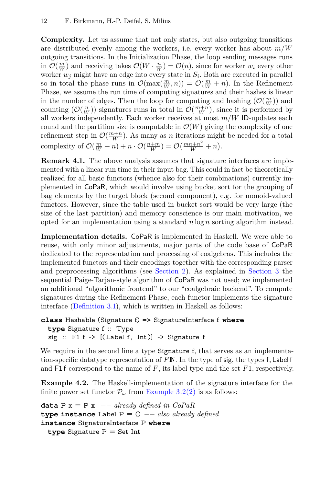**Complexity.** Let us assume that not only states, but also outgoing transitions are distributed evenly among the workers, i.e. every worker has about *m/W* outgoing transitions. In the Initialization Phase, the loop sending messages runs in  $\mathcal{O}(\frac{m}{W})$  and receiving takes  $\mathcal{O}(W \cdot \frac{n}{W}) = \mathcal{O}(n)$ , since for worker  $w_i$  every other worker *w<sup>j</sup>* might have an edge into every state in *S<sup>i</sup>* . Both are executed in parallel so in total the phase runs in  $\mathcal{O}(\max(\frac{m}{W}, n)) = \mathcal{O}(\frac{m}{W} + n)$ . In the Refinement Phase, we assume the run time of computing signatures and their hashes is linear in the number of edges. Then the loop for computing and hashing  $(\mathcal{O}(\frac{m}{W}))$  and counting  $(\mathcal{O}(\frac{n}{W}))$  signatures runs in total in  $\mathcal{O}(\frac{m+n}{W})$ , since it is performed by all workers independently. Each worker receives at most *m/W* ID-updates each round and the partition size is computable in  $\mathcal{O}(W)$  giving the complexity of one refinement step in  $\mathcal{O}(\frac{m+n}{W})$ . As many as *n* iterations might be needed for a total complexity of  $\mathcal{O}(\frac{m}{W} + n) + n \cdot \mathcal{O}(\frac{n+m}{W}) = \mathcal{O}(\frac{mn+n^2}{W} + n)$ .

**Remark 4.1.** The above analysis assumes that signature interfaces are implemented with a linear run time in their input bag. This could in fact be theoretically realized for all basic functors (whence also for their combinations) currently implemented in CoPaR, which would involve using bucket sort for the grouping of bag elements by the target block (second component), e.g. for monoid-valued functors. However, since the table used in bucket sort would be very large (the size of the last partition) and memory conscience is our main motivation, we opted for an implementation using a standard *n* log *n* sorting algorithm instead.

**Implementation details.** CoPaR is implemented in Haskell. We were able to reuse, with only minor adjustments, major parts of the code base of CoPaR dedicated to the representation and processing of coalgebras. This includes the implemented functors and their encodings together with the corresponding parser and preprocessing algorithms (see [Section](#page-5-1) 2). As explained in [Section](#page-6-0) 3 the sequential Paige-Tarjan-style algorithm of CoPaR was not used; we implemented an additional "algorithmic frontend" to our "coalgebraic backend". To compute signatures during the Refinement Phase, each functor implements the signature interface [\(Definition](#page-7-0) 3.1), which is written in Haskell as follows:

```
class Hashable (Signature f) => SignatureInterface f where
  type Signature f :: Type
  sig :: F1 f -> [(Label f, Int)] -> Signature f
```
We require in the second line a type Signature f, that serves as an implementation-specific datatype representation of *F* N. In the type of sig, the types f*,* Label f and  $F1f$  correspond to the name of  $F$ , its label type and the set  $F1$ , respectively.

**Example 4.2.** The Haskell-implementation of the signature interface for the finite power set functor  $\mathcal{P}_{\omega}$  from [Example](#page-7-3) 3.[2\(2\)](#page-8-2) is as follows:

```
data P x = P x - \text{already defined in } CoPaRtype instance Label P = () −− also already defined
instance SignatureInterface P where
  type Signature P = Set Int
```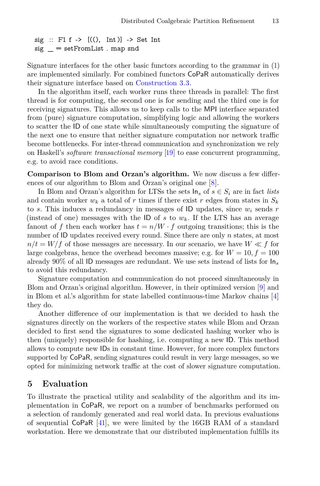```
sig :: F1 f -> [((), \text{Int})] -> Set Int
sig = setFromList . map and
```
Signature interfaces for the other basic functors according to the grammar in [\(1\)](#page-5-0) are implemented similarly. For combined functors CoPaR automatically derives their signature interface based on [Construction](#page-8-0) 3.3.

In the algorithm itself, each worker runs three threads in parallel: The first thread is for computing, the second one is for sending and the third one is for receiving signatures. This allows us to keep calls to the MPI interface separated from (pure) signature computation, simplifying logic and allowing the workers to scatter the ID of one state while simultaneously computing the signature of the next one to ensure that neither signature computation nor network traffic become bottlenecks. For inter-thread communication and synchronization we rely on Haskell's *software transactional memory* [\[19\]](#page-17-16) to ease concurrent programming, e.g. to avoid race conditions.

**Comparison to Blom and Orzan's algorithm.** We now discuss a few differences of our algorithm to Blom and Orzan's original one [\[8\]](#page-16-11).

In Blom and Orzan's algorithm for LTSs the sets  $\ln_s$  of  $s \in S_i$  are in fact *lists* and contain worker  $w_k$  a total of r times if there exist r edges from states in  $S_k$ to *s*. This induces a redundancy in messages of ID updates, since  $w_i$  sends  $r$ (instead of one) messages with the ID of  $s$  to  $w_k$ . If the LTS has an average fanout of f then each worker has  $t = n/W \cdot f$  outgoing transitions; this is the number of ID updates received every round. Since there are only *n* states, at most  $n/t = W/f$  of those messages are necessary. In our scenario, we have  $W \ll f$  for large coalgebras, hence the overhead becomes massive; e.g. for  $W = 10, f = 100$ already 90% of all ID messages are redundant. We use sets instead of lists for In*<sup>s</sup>* to avoid this redundancy.

Signature computation and communication do not proceed simultaneously in Blom and Orzan's original algorithm. However, in their optimized version [\[9\]](#page-16-5) and in Blom et al.'s algorithm for state labelled continuous-time Markov chains [\[4\]](#page-16-4) they do.

Another difference of our implementation is that we decided to hash the signatures directly on the workers of the respective states while Blom and Orzan decided to first send the signatures to some dedicated hashing worker who is then (uniquely) responsible for hashing, i.e. computing a new ID. This method allows to compute new IDs in constant time. However, for more complex functors supported by CoPaR, sending signatures could result in very large messages, so we opted for minimizing network traffic at the cost of slower signature computation.

## **5 Evaluation**

To illustrate the practical utility and scalability of the algorithm and its implementation in CoPaR, we report on a number of benchmarks performed on a selection of randomly generated and real world data. In previous evaluations of sequential CoPaR [\[41\]](#page-18-3), we were limited by the 16GB RAM of a standard workstation. Here we demonstrate that our distributed implementation fulfills its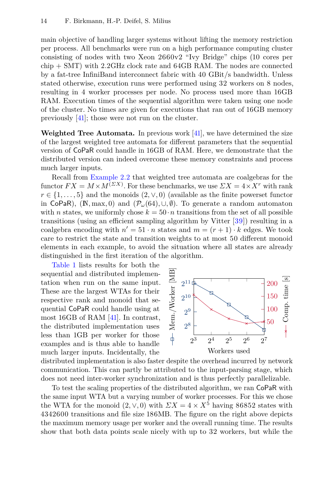main objective of handling larger systems without lifting the memory restriction per process. All benchmarks were run on a high performance computing cluster consisting of nodes with two Xeon 2660v2 "Ivy Bridge" chips (10 cores per chip + SMT) with 2.2GHz clock rate and 64GB RAM. The nodes are connected by a fat-tree InfiniBand interconnect fabric with 40 GBit/s bandwidth. Unless stated otherwise, execution runs were performed using 32 workers on 8 nodes, resulting in 4 worker processes per node. No process used more than 16GB RAM. Execution times of the sequential algorithm were taken using one node of the cluster. No times are given for executions that ran out of 16GB memory previously [\[41\]](#page-18-3); those were not run on the cluster.

**Weighted Tree Automata.** In previous work [\[41\]](#page-18-3), we have determined the size of the largest weighted tree automata for different parameters that the sequential version of CoPaR could handle in 16GB of RAM. Here, we demonstrate that the distributed version can indeed overcome these memory constraints and process much larger inputs.

Recall from [Example](#page-3-0) 2.2 that weighted tree automata are coalgebras for the functor  $FX = M \times M^{(\Sigma X)}$ . For these benchmarks, we use  $\sum X = 4 \times X^r$  with rank  $r \in \{1, \ldots, 5\}$  and the monoids  $(2, \vee, 0)$  (available as the finite powerset functor in CoPaR), ( $\mathbb{N}, \max, 0$ ) and  $(\mathcal{P}_\omega(64), \cup, \emptyset)$ . To generate a random automaton with *n* states, we uniformly chose  $k = 50 \cdot n$  transitions from the set of all possible transitions (using an efficient sampling algorithm by Vitter [\[39\]](#page-18-8)) resulting in a coalgebra encoding with  $n' = 51 \cdot n$  states and  $m = (r + 1) \cdot k$  edges. We took care to restrict the state and transition weights to at most 50 different monoid elements in each example, to avoid the situation where all states are already distinguished in the first iteration of the algorithm.

[Table](#page-14-0) 1 lists results for both the sequential and distributed implementation when run on the same input. These are the largest WTAs for their respective rank and monoid that sequential CoPaR could handle using at most 16GB of RAM [\[41\]](#page-18-3). In contrast, the distributed implementation uses less than 1GB per worker for those examples and is thus able to handle much larger inputs. Incidentally, the



distributed implementation is also faster despite the overhead incurred by network communication. This can partly be attributed to the input-parsing stage, which does not need inter-worker synchronization and is thus perfectly parallelizable.

To test the scaling properties of the distributed algorithm, we ran CoPaR with the same input WTA but a varying number of worker processes. For this we chose the WTA for the monoid  $(2, \vee, 0)$  with  $\sum X = 4 \times X^5$  having 86852 states with 4342600 transitions and file size 186MB. The figure on the right above depicts the maximum memory usage per worker and the overall running time. The results show that both data points scale nicely with up to 32 workers, but while the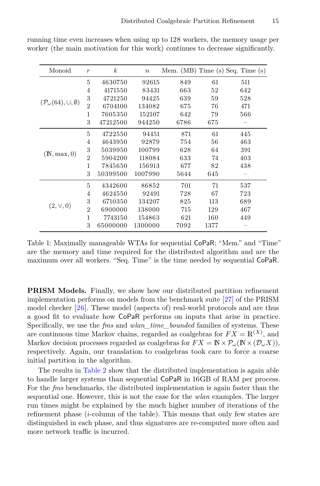<span id="page-14-0"></span>

| Monoid                                        | $\boldsymbol{r}$ | $\boldsymbol{k}$ | $\boldsymbol{n}$ |      |      | Mem. (MB) Time (s) Seq. Time (s) |
|-----------------------------------------------|------------------|------------------|------------------|------|------|----------------------------------|
| $(\mathcal{P}_{\omega}(64), \cup, \emptyset)$ | 5                | 4630750          | 92615            | 849  | 61   | 511                              |
|                                               | 4                | 4171550          | 83431            | 663  | 52   | 642                              |
|                                               | 3                | 4721250          | 94425            | 639  | 59   | 528                              |
|                                               | $\overline{2}$   | 6704100          | 134082           | 675  | 76   | 471                              |
|                                               | 1                | 7605350          | 152107           | 642  | 79   | 566                              |
|                                               | 3                | 47212500         | 944250           | 6786 | 675  |                                  |
| (N, max, 0)                                   | 5                | 4722550          | 94451            | 871  | 61   | 445                              |
|                                               | 4                | 4643950          | 92879            | 754  | 56   | 463                              |
|                                               | 3                | 5039950          | 100799           | 628  | 64   | 391                              |
|                                               | $\overline{2}$   | 5904200          | 118084           | 633  | 74   | 403                              |
|                                               | 1                | 7845650          | 156913           | 677  | 82   | 438                              |
|                                               | 3                | 50399500         | 1007990          | 5644 | 645  |                                  |
| $(2, \vee, 0)$                                | 5                | 4342600          | 86852            | 701  | 71   | 537                              |
|                                               | 4                | 4624550          | 92491            | 728  | 67   | 723                              |
|                                               | 3                | 6710350          | 134207           | 825  | 113  | 689                              |
|                                               | $\overline{2}$   | 6900000          | 138000           | 715  | 129  | 467                              |
|                                               | 1                | 7743150          | 154863           | 621  | 160  | 449                              |
|                                               | 3                | 65000000         | 1300000          | 7092 | 1377 |                                  |

running time even increases when using up to 128 workers, the memory usage per worker (the main motivation for this work) continues to decrease significantly.

Table 1: Maximally manageable WTAs for sequential CoPaR; "Mem." and "Time" are the memory and time required for the distributed algorithm and are the maximum over all workers. "Seq. Time" is the time needed by sequential CoPaR.

**PRISM Models.** Finally, we show how our distributed partition refinement implementation performs on models from the benchmark suite [\[27\]](#page-17-10) of the PRISM model checker [\[26\]](#page-17-17). These model (aspects of) real-world protocols and are thus a good fit to evaluate how CoPaR performs on inputs that arise in practice. Specifically, we use the *fms* and *wlan\_time\_bounded* families of systems. These are continuous time Markov chains, regarded as coalgebras for  $FX = \mathbb{R}^{(X)}$ , and Markov decision processes regarded as coalgebras for  $FX = \mathbb{N} \times \mathcal{P}_\omega(\mathbb{N} \times (\mathcal{D}_\omega X)),$ respectively. Again, our translation to coalgebras took care to force a coarse initial partition in the algorithm.

The results in [Table](#page-15-0) 2 show that the distributed implementation is again able to handle larger systems than sequential CoPaR in 16GB of RAM per process. For the *fms* benchmarks, the distributed implementation is again faster than the sequential one. However, this is not the case for the *wlan* examples. The larger run times might be explained by the much higher number of iterations of the refinement phase (*i*-column of the table). This means that only few states are distinguished in each phase, and thus signatures are re-computed more often and more network traffic is incurred.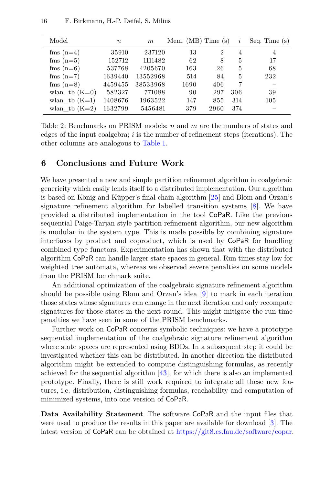<span id="page-15-0"></span>

| Model           | $\boldsymbol{n}$ | m        | Mem. $(MB)$ Time $(s)$ |                | i   | Seq. Time $(s)$ |
|-----------------|------------------|----------|------------------------|----------------|-----|-----------------|
| fms $(n=4)$     | 35910            | 237120   | 13                     | $\overline{2}$ | 4   | $\overline{4}$  |
| fms $(n=5)$     | 152712           | 1111482  | 62                     | 8              | 5   | 17              |
| fms $(n=6)$     | 537768           | 4205670  | 163                    | 26             | 5   | 68              |
| fms $(n=7)$     | 1639440          | 13552968 | 514                    | 84             | 5   | 232             |
| fms $(n=8)$     | 4459455          | 38533968 | 1690                   | 406            | 7   |                 |
| wlan tb $(K=0)$ | 582327           | 771088   | 90                     | 297            | 306 | 39              |
| wlan tb $(K=1)$ | 1408676          | 1963522  | 147                    | 855            | 314 | 105             |
| wlan tb $(K=2)$ | 1632799          | 5456481  | 379                    | 2960           | 374 |                 |

Table 2: Benchmarks on PRISM models: *n* and *m* are the numbers of states and edges of the input coalgebra; *i* is the number of refinement steps (iterations). The other columns are analogous to [Table](#page-14-0) 1.

#### **6 Conclusions and Future Work**

We have presented a new and simple partition refinement algorithm in coalgebraic genericity which easily lends itself to a distributed implementation. Our algorithm is based on König and Küpper's final chain algorithm [\[25\]](#page-17-9) and Blom and Orzan's signature refinement algorithm for labelled transition systems [\[8\]](#page-16-11). We have provided a distributed implementation in the tool CoPaR. Like the previous sequential Paige-Tarjan style partition refinement algorithm, our new algorithm is modular in the system type. This is made possible by combining signature interfaces by product and coproduct, which is used by CoPaR for handling combined type functors. Experimentation has shown that with the distributed algorithm CoPaR can handle larger state spaces in general. Run times stay low for weighted tree automata, whereas we observed severe penalties on some models from the PRISM benchmark suite.

An additional optimization of the coalgebraic signature refinement algorithm should be possible using Blom and Orzan's idea [\[9\]](#page-16-5) to mark in each iteration those states whose signatures can change in the next iteration and only recompute signatures for those states in the next round. This might mitigate the run time penalties we have seen in some of the PRISM benchmarks.

Further work on CoPaR concerns symbolic techniques: we have a prototype sequential implementation of the coalgebraic signature refinement algorithm where state spaces are represented using BDDs. In a subsequent step it could be investigated whether this can be distributed. In another direction the distributed algorithm might be extended to compute distinguishing formulas, as recently achieved for the sequential algorithm  $[43]$ , for which there is also an implemented prototype. Finally, there is still work required to integrate all these new features, i.e. distribution, distinguishing formulas, reachability and computation of minimized systems, into one version of CoPaR.

**Data Availability Statement** The software CoPaR and the input files that were used to produce the results in this paper are available for download [\[3\]](#page-16-12). The latest version of CoPaR can be obtained at [https://git8.cs.fau.de/software/copar.](https://git8.cs.fau.de/software/copar)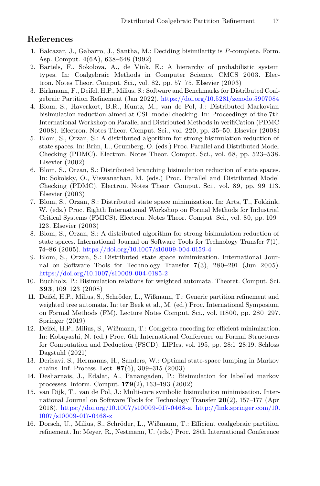# **References**

- <span id="page-16-6"></span>1. Balcazar, J., Gabarro, J., Santha, M.: Deciding bisimilarity is *P*-complete. Form. Asp. Comput. **4**(6A), 638–648 (1992)
- <span id="page-16-10"></span>2. Bartels, F., Sokolova, A., de Vink, E.: A hierarchy of probabilistic system types. In: Coalgebraic Methods in Computer Science, CMCS 2003. Electron. Notes Theor. Comput. Sci., vol. 82, pp. 57–75. Elsevier (2003)
- <span id="page-16-12"></span>3. Birkmann, F., Deifel, H.P., Milius, S.: Software and Benchmarks for Distributed Coalgebraic Partition Refinement (Jan 2022). <https://doi.org/10.5281/zenodo.5907084>
- <span id="page-16-4"></span>4. Blom, S., Haverkort, B.R., Kuntz, M., van de Pol, J.: Distributed Markovian bisimulation reduction aimed at CSL model checking. In: Proceedings of the 7th International Workshop on Parallel and Distributed Methods in verifiCation (PDMC 2008). Electron. Notes Theor. Comput. Sci., vol. 220, pp. 35–50. Elsevier (2008)
- 5. Blom, S., Orzan, S.: A distributed algorithm for strong bisimulation reduction of state spaces. In: Brim, L., Grumberg, O. (eds.) Proc. Parallel and Distributed Model Checking (PDMC). Electron. Notes Theor. Comput. Sci., vol. 68, pp. 523–538. Elsevier (2002)
- 6. Blom, S., Orzan, S.: Distributed branching bisimulation reduction of state spaces. In: Sokolsky, O., Viswanathan, M. (eds.) Proc. Parallel and Distributed Model Checking (PDMC). Electron. Notes Theor. Comput. Sci., vol. 89, pp. 99–113. Elsevier (2003)
- 7. Blom, S., Orzan, S.: Distributed state space minimization. In: Arts, T., Fokkink, W. (eds.) Proc. Eighth International Workshop on Formal Methods for Industrial Critical Systems (FMICS). Electron. Notes Theor. Comput. Sci., vol. 80, pp. 109– 123. Elsevier (2003)
- <span id="page-16-11"></span>8. Blom, S., Orzan, S.: A distributed algorithm for strong bisimulation reduction of state spaces. International Journal on Software Tools for Technology Transfer **7**(1), 74–86 (2005). <https://doi.org/10.1007/s10009-004-0159-4>
- <span id="page-16-5"></span>9. Blom, S., Orzan, S.: Distributed state space minimization. International Journal on Software Tools for Technology Transfer **7**(3), 280–291 (Jun 2005). <https://doi.org/10.1007/s10009-004-0185-2>
- <span id="page-16-1"></span>10. Buchholz, P.: Bisimulation relations for weighted automata. Theoret. Comput. Sci. **393**, 109–123 (2008)
- <span id="page-16-3"></span>11. Deifel, H.P., Milius, S., Schröder, L., Wißmann, T.: Generic partition refinement and weighted tree automata. In: ter Beek et al., M. (ed.) Proc. International Symposium on Formal Methods (FM). Lecture Notes Comput. Sci., vol. 11800, pp. 280–297. Springer (2019)
- <span id="page-16-8"></span>12. Deifel, H.P., Milius, S., Wißmann, T.: Coalgebra encoding for efficient minimization. In: Kobayashi, N. (ed.) Proc. 6th International Conference on Formal Structures for Computation and Deduction (FSCD). LIPIcs, vol. 195, pp. 28:1–28:19. Schloss Dagstuhl (2021)
- <span id="page-16-0"></span>13. Derisavi, S., Hermanns, H., Sanders, W.: Optimal state-space lumping in Markov chains. Inf. Process. Lett. **87**(6), 309–315 (2003)
- <span id="page-16-9"></span>14. Desharnais, J., Edalat, A., Panangaden, P.: Bisimulation for labelled markov processes. Inform. Comput. **179**(2), 163–193 (2002)
- <span id="page-16-7"></span>15. van Dijk, T., van de Pol, J.: Multi-core symbolic bisimulation minimisation. International Journal on Software Tools for Technology Transfer **20**(2), 157–177 (Apr 2018). [https://doi.org/10.1007/s10009-017-0468-z,](https://doi.org/10.1007/s10009-017-0468-z) [http://link.springer.com/10.](http://link.springer.com/10.1007/s10009-017-0468-z) [1007/s10009-017-0468-z](http://link.springer.com/10.1007/s10009-017-0468-z)
- <span id="page-16-2"></span>16. Dorsch, U., Milius, S., Schröder, L., Wißmann, T.: Efficient coalgebraic partition refinement. In: Meyer, R., Nestmann, U. (eds.) Proc. 28th International Conference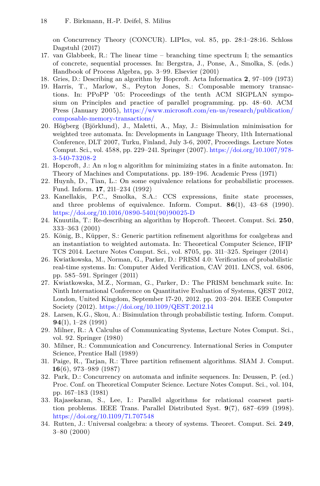on Concurrency Theory (CONCUR). LIPIcs, vol. 85, pp. 28:1–28:16. Schloss Dagstuhl (2017)

- <span id="page-17-0"></span>17. van Glabbeek, R.: The linear time – branching time spectrum I; the semantics of concrete, sequential processes. In: Bergstra, J., Ponse, A., Smolka, S. (eds.) Handbook of Process Algebra, pp. 3–99. Elsevier (2001)
- <span id="page-17-3"></span>18. Gries, D.: Describing an algorithm by Hopcroft. Acta Informatica **2**, 97–109 (1973)
- <span id="page-17-16"></span>19. Harris, T., Marlow, S., Peyton Jones, S.: Composable memory transactions. In: PPoPP '05: Proceedings of the tenth ACM SIGPLAN symposium on Principles and practice of parallel programming. pp. 48–60. ACM Press (January 2005), [https://www.microsoft.com/en-us/research/publication/](https://www.microsoft.com/en-us/research/publication/composable-memory-transactions/) [composable-memory-transactions/](https://www.microsoft.com/en-us/research/publication/composable-memory-transactions/)
- <span id="page-17-7"></span>20. Högberg (Björklund), J., Maletti, A., May, J.: Bisimulation minimisation for weighted tree automata. In: Developments in Language Theory, 11th International Conference, DLT 2007, Turku, Finland, July 3-6, 2007, Proceedings. Lecture Notes Comput. Sci., vol. 4588, pp. 229–241. Springer (2007). [https://doi.org/10.1007/978-](https://doi.org/10.1007/978-3-540-73208-2) [3-540-73208-2](https://doi.org/10.1007/978-3-540-73208-2)
- <span id="page-17-2"></span>21. Hopcroft, J.: An *n* log *n* algorithm for minimizing states in a finite automaton. In: Theory of Machines and Computations. pp. 189–196. Academic Press (1971)
- <span id="page-17-6"></span>22. Huynh, D., Tian, L.: On some equivalence relations for probabilistic processes. Fund. Inform. **17**, 211–234 (1992)
- <span id="page-17-1"></span>23. Kanellakis, P.C., Smolka, S.A.: CCS expressions, finite state processes, and three problems of equivalence. Inform. Comput. **86**(1), 43–68 (1990). [https://doi.org/10.1016/0890-5401\(90\)90025-D](https://doi.org/10.1016/0890-5401(90)90025-D)
- <span id="page-17-4"></span>24. Knuutila, T.: Re-describing an algorithm by Hopcroft. Theoret. Comput. Sci. **250**, 333–363 (2001)
- <span id="page-17-9"></span>25. König, B., Küpper, S.: Generic partition refinement algorithms for coalgebras and an instantiation to weighted automata. In: Theoretical Computer Science, IFIP TCS 2014. Lecture Notes Comput. Sci., vol. 8705, pp. 311–325. Springer (2014)
- <span id="page-17-17"></span>26. Kwiatkowska, M., Norman, G., Parker, D.: PRISM 4.0: Verification of probabilistic real-time systems. In: Computer Aided Verification, CAV 2011. LNCS, vol. 6806, pp. 585–591. Springer (2011)
- <span id="page-17-10"></span>27. Kwiatkowska, M.Z., Norman, G., Parker, D.: The PRISM benchmark suite. In: Ninth International Conference on Quantitative Evaluation of Systems, QEST 2012, London, United Kingdom, September 17-20, 2012. pp. 203–204. IEEE Computer Society (2012). <https://doi.org/10.1109/QEST.2012.14>
- <span id="page-17-15"></span>28. Larsen, K.G., Skou, A.: Bisimulation through probabilistic testing. Inform. Comput. **94**(1), 1–28 (1991)
- <span id="page-17-12"></span>29. Milner, R.: A Calculus of Communicating Systems, Lecture Notes Comput. Sci., vol. 92. Springer (1980)
- <span id="page-17-13"></span>30. Milner, R.: Communication and Concurrency. International Series in Computer Science, Prentice Hall (1989)
- <span id="page-17-5"></span>31. Paige, R., Tarjan, R.: Three partition refinement algorithms. SIAM J. Comput. **16**(6), 973–989 (1987)
- <span id="page-17-14"></span>32. Park, D.: Concurrency on automata and infinite sequences. In: Deussen, P. (ed.) Proc. Conf. on Theoretical Computer Science. Lecture Notes Comput. Sci., vol. 104, pp. 167–183 (1981)
- <span id="page-17-11"></span>33. Rajasekaran, S., Lee, I.: Parallel algorithms for relational coarsest partition problems. IEEE Trans. Parallel Distributed Syst. **9**(7), 687–699 (1998). <https://doi.org/10.1109/71.707548>
- <span id="page-17-8"></span>34. Rutten, J.: Universal coalgebra: a theory of systems. Theoret. Comput. Sci. **249**, 3–80 (2000)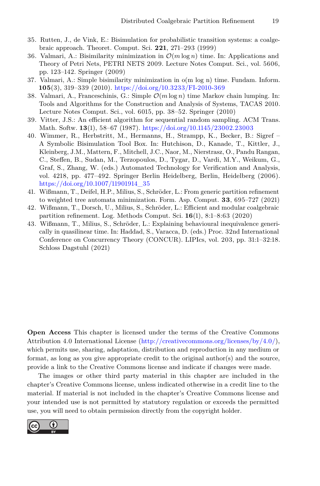- <span id="page-18-7"></span>35. Rutten, J., de Vink, E.: Bisimulation for probabilistic transition systems: a coalgebraic approach. Theoret. Comput. Sci. **221**, 271–293 (1999)
- <span id="page-18-0"></span>36. Valmari, A.: Bisimilarity minimization in  $\mathcal{O}(m \log n)$  time. In: Applications and Theory of Petri Nets, PETRI NETS 2009. Lecture Notes Comput. Sci., vol. 5606, pp. 123–142. Springer (2009)
- <span id="page-18-4"></span>37. Valmari, A.: Simple bisimilarity minimization in o(m log n) time. Fundam. Inform. **105**(3), 319–339 (2010). <https://doi.org/10.3233/FI-2010-369>
- <span id="page-18-1"></span>38. Valmari, A., Franceschinis, G.: Simple O(*m* log *n*) time Markov chain lumping. In: Tools and Algorithms for the Construction and Analysis of Systems, TACAS 2010. Lecture Notes Comput. Sci., vol. 6015, pp. 38–52. Springer (2010)
- <span id="page-18-8"></span>39. Vitter, J.S.: An efficient algorithm for sequential random sampling. ACM Trans. Math. Softw. **13**(1), 58–67 (1987). <https://doi.org/10.1145/23002.23003>
- <span id="page-18-5"></span>40. Wimmer, R., Herbstritt, M., Hermanns, H., Strampp, K., Becker, B.: Sigref – A Symbolic Bisimulation Tool Box. In: Hutchison, D., Kanade, T., Kittler, J., Kleinberg, J.M., Mattern, F., Mitchell, J.C., Naor, M., Nierstrasz, O., Pandu Rangan, C., Steffen, B., Sudan, M., Terzopoulos, D., Tygar, D., Vardi, M.Y., Weikum, G., Graf, S., Zhang, W. (eds.) Automated Technology for Verification and Analysis, vol. 4218, pp. 477–492. Springer Berlin Heidelberg, Berlin, Heidelberg (2006). [https://doi.org/10.1007/11901914\\_35](https://doi.org/10.1007/11901914_35)
- <span id="page-18-3"></span>41. Wißmann, T., Deifel, H.P., Milius, S., Schröder, L.: From generic partition refinement to weighted tree automata minimization. Form. Asp. Comput. **33**, 695–727 (2021)
- <span id="page-18-2"></span>42. Wißmann, T., Dorsch, U., Milius, S., Schröder, L.: Efficient and modular coalgebraic partition refinement. Log. Methods Comput. Sci. **16**(1), 8:1–8:63 (2020)
- <span id="page-18-6"></span>43. Wißmann, T., Milius, S., Schröder, L.: Explaining behavioural inequivalence generically in quasilinear time. In: Haddad, S., Varacca, D. (eds.) Proc. 32nd International Conference on Concurrency Theory (CONCUR). LIPIcs, vol. 203, pp. 31:1–32:18. Schloss Dagstuhl (2021)

**Open Access** This chapter is licensed under the terms of the Creative Commons Attribution 4.0 International License [\(http://creativecommons.org/licenses/by/4.0/\)](http://creativecommons.org/licenses/by/4.0/), which permits use, sharing, adaptation, distribution and reproduction in any medium or format, as long as you give appropriate credit to the original author(s) and the source, provide a link to the Creative Commons license and indicate if changes were made.

The images or other third party material in this chapter are included in the chapter's Creative Commons license, unless indicated otherwise in a credit line to the material. If material is not included in the chapter's Creative Commons license and your intended use is not permitted by statutory regulation or exceeds the permitted use, you will need to obtain permission directly from the copyright holder.

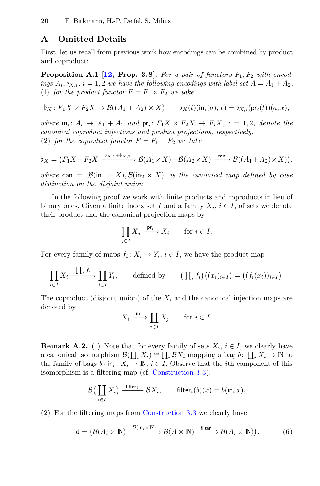### **A Omitted Details**

<span id="page-19-0"></span>First, let us recall from previous work how encodings can be combined by product and coproduct:

**Proposition A.1** [\[12,](#page-16-8) Prop. 3.8]. For a pair of functors  $F_1, F_2$  with encod*ings*  $A_i$ ,  $b_{X,i}$ ,  $i = 1,2$  *we have the following encodings with label set*  $A = A_1 + A_2$ . (1) *for the product functor*  $F = F_1 \times F_2$  *we take* 

$$
\flat_X\colon F_1X\times F_2X\to \mathcal{B}((A_1+A_2)\times X)\qquad \flat_X(t)(\mathsf{in}_i(a),x)=\flat_{X,i}(\mathsf{pr}_i(t))(a,x),
$$

*where*  $\text{in}_i: A_i \to A_1 + A_2$  *and*  $\text{pr}_i: F_1X \times F_2X \to F_iX$ ,  $i = 1, 2$ , *denote the canonical coproduct injections and product projections, respectively.* (2) *for the coproduct functor*  $F = F_1 + F_2$  *we take* 

$$
\flat_X = \left( F_1 X + F_2 X \xrightarrow{\flat_{X,1} + \flat_{X,2}} \mathcal{B}(A_1 \times X) + \mathcal{B}(A_2 \times X) \xrightarrow{\text{can}} \mathcal{B}((A_1 + A_2) \times X) \right),
$$

*where* can =  $[\mathcal{B}(\text{in}_1 \times X), \mathcal{B}(\text{in}_2 \times X)]$  *is the canonical map defined by case distinction on the disjoint union.*

In the following proof we work with finite products and coproducts in lieu of binary ones. Given a finite index set *I* and a family  $X_i$ ,  $i \in I$ , of sets we denote their product and the canonical projection maps by

$$
\prod_{j\in I}X_j\stackrel{{\rm pr}_i}{\longrightarrow}X_i\qquad\text{for $i\in I$}.
$$

For every family of maps  $f_i: X_i \to Y_i$ ,  $i \in I$ , we have the product map

$$
\prod_{i\in I} X_i \xrightarrow{\prod_i f_i} \prod_{i\in I} Y_i, \qquad \text{defined by} \qquad (\prod_i f_i) \big( (x_i)_{i\in I} \big) = \big( (f_i(x_i))_{i\in I} \big).
$$

The coproduct (disjoint union) of the  $X_i$  and the canonical injection maps are denoted by

<span id="page-19-3"></span>
$$
X_i \xrightarrow{\text{in}_i} \coprod_{j \in I} X_j \quad \text{for } i \in I.
$$

<span id="page-19-2"></span><span id="page-19-1"></span>**Remark A.2.** (1) Note that for every family of sets  $X_i$ ,  $i \in I$ , we clearly have a canonical isomorphism  $\mathcal{B}(\prod_i X_i) \cong \prod_i \mathcal{B}X_i$  mapping a bag  $b: \prod_i X_i \to \mathbb{N}$  to the family of bags  $b \cdot \text{in}_i : X_i \to \mathbb{N}, i \in I$ . Observe that the *i*th component of this isomorphism is a filtering map (cf. [Construction](#page-8-0) 3.3):

$$
\mathcal{B}\left(\coprod_{i\in I} X_i\right) \xrightarrow{\text{ filter}_i} \mathcal{B}X_i, \qquad \text{filter}_i(b)(x) = b(\text{in}_i x).
$$

(2) For the filtering maps from [Construction](#page-8-0) 3.3 we clearly have

$$
\mathrm{id} = \big(\mathcal{B}(A_i \times \mathbb{N}) \xrightarrow{\mathcal{B}(\mathrm{in}_i \times \mathbb{N})} \mathcal{B}(A \times \mathbb{N}) \xrightarrow{\mathrm{filter}_i} \mathcal{B}(A_i \times \mathbb{N})\big).
$$
 (6)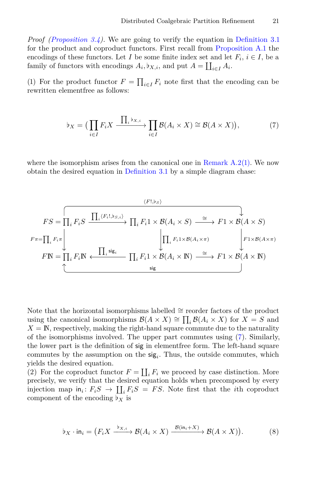*Proof [\(Proposition](#page-8-1) 3.4).* We are going to verify the equation in [Definition](#page-7-0) 3.1 for the product and coproduct functors. First recall from [Proposition A.1](#page-19-0) the encodings of these functors. Let *I* be some finite index set and let  $F_i$ ,  $i \in I$ , be a family of functors with encodings  $A_i$ ,  $b_{X,i}$ , and put  $A = \coprod_{i \in I} A_i$ .

(1) For the product functor  $F = \prod_{i \in I} F_i$  note first that the encoding can be rewritten elementfree as follows:

<span id="page-20-0"></span>
$$
\flat_X = \left( \prod_{i \in I} F_i X \xrightarrow{\prod_i \flat_{X,i}} \prod_{i \in I} \mathcal{B}(A_i \times X) \cong \mathcal{B}(A \times X) \right),\tag{7}
$$

where the isomorphism arises from the canonical one in Remark  $A.2(1)$ . We now obtain the desired equation in [Definition](#page-7-0) 3.1 by a simple diagram chase:

$$
FS = \prod_{i} F_{i}S \xrightarrow{\prod_{i} \langle F_{i}, \flat_{S, i} \rangle} \prod_{i} F_{i}1 \times \mathcal{B}(A_{i} \times S) \xrightarrow{\cong} F1 \times \mathcal{B}(A \times S)
$$

$$
F\pi = \prod_{i} F_{i}\pi \bigcup_{\text{F1}} F_{i} \mathbb{N} \xleftarrow{\prod_{i} \text{sig}} \prod_{i} F_{i}1 \times \mathcal{B}(A_{i} \times \pi) \xrightarrow{\cong} F1 \times \mathcal{B}(A \times \pi)
$$

$$
F\mathbb{N} = \prod_{i} F_{i}\mathbb{N} \xleftarrow{\prod_{i} \text{sig}} \prod_{i} F_{i}1 \times \mathcal{B}(A_{i} \times \mathbb{N}) \xrightarrow{\cong} F1 \times \mathcal{B}(A \times \mathbb{N})
$$

Note that the horizontal isomorphisms labelled  $\cong$  reorder factors of the product using the canonical isomorphisms  $\mathcal{B}(A \times X) \cong \prod_i \mathcal{B}(A_i \times X)$  for  $X = S$  and  $X = N$ , respectively, making the right-hand square commute due to the naturality of the isomorphisms involved. The upper part commutes using [\(7\)](#page-20-0). Similarly, the lower part is the definition of sig in elementfree form. The left-hand square commutes by the assumption on the sig*<sup>i</sup>* . Thus, the outside commutes, which yields the desired equation.

(2) For the coproduct functor  $F = \coprod_i F_i$  we proceed by case distinction. More precisely, we verify that the desired equation holds when precomposed by every injection map  $\text{in}_i: F_iS \to \coprod_i F_iS = FS$ . Note first that the *i*th coproduct component of the encoding  $\flat_X$  is

<span id="page-20-1"></span>
$$
\flat_X \cdot \mathsf{in}_i = \left( F_i X \xrightarrow{\flat_{X,i}} \mathcal{B}(A_i \times X) \xrightarrow{\mathcal{B}(\mathsf{in}_i + X)} \mathcal{B}(A \times X) \right). \tag{8}
$$